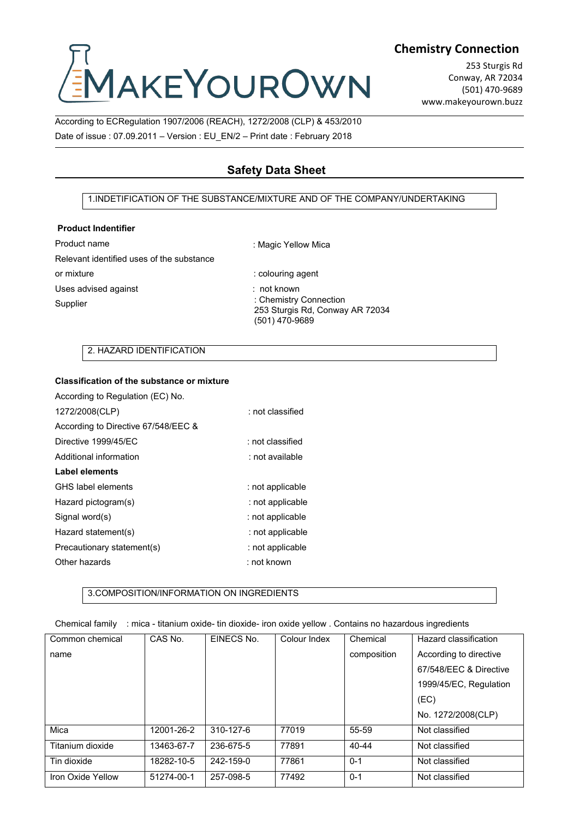## Chemistry<br>
Cording to ECRegulation 1907/2006 (REACH), 1272/2008 (CLP) & 453/2010<br>
Date of issue : 07.09.2011 – Version : EU\_EN/2 – Print date : February 2018 Chemistry C<br>
Chemistry C<br>
Date of issue : 07.09.2011 – Version : EU\_EN/2 – Print date : February 2018<br>
Date of issue : 07.09.2011 – Version : EU\_EN/2 – Print date : February 2018<br>
Safety Data Sheet 1.INDETIFICATION OF THE SUBSTANCE/MIXTURE AND OF THE COMPANY/UNDERTAKING<br>
THE SUBSTANCE/MIXTURE AND OF THE COMPANY/UNDERTAKING<br>
THE SUBSTANCE/MIXTURE AND OF THE COMPANY/UNDERTAKING<br>
THE SUBSTANCE/MIXTURE AND OF THE COMPANY

## **Chemistry Connection**

253 Sturgis Rd Conway, AR 72034 (501) 470-9689 www.makeyourown.buzz

## **Safety Data Sheet**

## **Product Indentifier**

: Magic Yellow Mica : colouring agent : not known Product name Relevant identified uses of the substance or mixture Uses advised against Supplier t Indentifier<br>
name<br>
it identified uses of the substance<br>
re<br>
it is not known<br>
it is not known<br>
it is not known<br>
2. Colouring agent<br>
2. HAZARD IDENTIFICATION<br>
2. HAZARD IDENTIFICATION<br>
cation of the substance or mixture<br>
r Relevant identified uses of the substance<br>
or mixture<br>
Uses advised against<br>
Supplier<br>
Supplier<br>
2. HAZARD IDENTIFICATION<br>
2. HAZARD IDENTIFICATION<br>
Classification of the substance or mixture<br>
According to Regulation (EC) or mixture<br>
Uses advised against<br>
Supplier<br>
Supplier<br>
Supplier<br>
2. HAZARD IDENTIFICATION<br>
2. HAZARD IDENTIFICATION<br>
Classification of the substance or mixture<br>
According to Regulation (EC) No.<br>
1272/2008(CLP) : not classif Uses advised against<br>
Supplier<br>
Supplier<br>
Supplier<br>
253 Sturgis Rd, Conway AR 72034<br>
(501) 470-9689<br>
2. HAZARD IDENTIFICATION<br>
Classification of the substance or mixture<br>
According to Regulation (EC) No.<br>
1272/2008(CLP)<br>
2 : Chemistry Connection 253 Sturgis Rd, Conway AR 72034 (501) 470-9689

| Supplier                                                                                                    |                          |                                          | : Chemistry Connection<br>253 Sturgis Rd, Conway AR 72034<br>(501) 470-9689 |             |                         |
|-------------------------------------------------------------------------------------------------------------|--------------------------|------------------------------------------|-----------------------------------------------------------------------------|-------------|-------------------------|
|                                                                                                             | 2. HAZARD IDENTIFICATION |                                          |                                                                             |             |                         |
| <b>Classification of the substance or mixture</b>                                                           |                          |                                          |                                                                             |             |                         |
| According to Regulation (EC) No.                                                                            |                          |                                          |                                                                             |             |                         |
| 1272/2008(CLP)                                                                                              |                          |                                          | : not classified                                                            |             |                         |
| According to Directive 67/548/EEC &                                                                         |                          |                                          |                                                                             |             |                         |
| Directive 1999/45/EC                                                                                        |                          |                                          | : not classified                                                            |             |                         |
| Additional information                                                                                      |                          |                                          | : not available                                                             |             |                         |
| Label elements                                                                                              |                          |                                          |                                                                             |             |                         |
| GHS label elements                                                                                          |                          |                                          | : not applicable                                                            |             |                         |
| Hazard pictogram(s)                                                                                         |                          |                                          | : not applicable                                                            |             |                         |
| Signal word(s)                                                                                              |                          |                                          | : not applicable                                                            |             |                         |
| Hazard statement(s)                                                                                         |                          |                                          | : not applicable                                                            |             |                         |
| Precautionary statement(s)                                                                                  |                          |                                          | : not applicable                                                            |             |                         |
| Other hazards                                                                                               |                          | : not known                              |                                                                             |             |                         |
|                                                                                                             |                          |                                          |                                                                             |             |                         |
|                                                                                                             |                          | 3.COMPOSITION/INFORMATION ON INGREDIENTS |                                                                             |             |                         |
|                                                                                                             |                          |                                          |                                                                             |             |                         |
| Chemical family : mica - titanium oxide- tin dioxide- iron oxide yellow . Contains no hazardous ingredients |                          |                                          |                                                                             |             |                         |
| Common chemical                                                                                             | CAS No.                  | EINECS No.                               | Colour Index                                                                | Chemical    | Hazard classification   |
| name                                                                                                        |                          |                                          |                                                                             | composition | According to directive  |
|                                                                                                             |                          |                                          |                                                                             |             | 67/548/EEC & Directive  |
|                                                                                                             |                          |                                          |                                                                             |             | $1000/4E/EC$ Poquintion |

| Signal word(s)             |            |                                          | : not applicable                                                                           |             |                        |  |  |
|----------------------------|------------|------------------------------------------|--------------------------------------------------------------------------------------------|-------------|------------------------|--|--|
| Hazard statement(s)        |            |                                          | : not applicable                                                                           |             |                        |  |  |
| Precautionary statement(s) |            |                                          | : not applicable                                                                           |             |                        |  |  |
| Other hazards              |            |                                          | : not known                                                                                |             |                        |  |  |
|                            |            |                                          |                                                                                            |             |                        |  |  |
|                            |            | 3.COMPOSITION/INFORMATION ON INGREDIENTS |                                                                                            |             |                        |  |  |
| Chemical family            |            |                                          | : mica - titanium oxide- tin dioxide- iron oxide yellow. Contains no hazardous ingredients |             |                        |  |  |
| Common chemical            | CAS No.    | EINECS No.                               | Colour Index                                                                               | Chemical    | Hazard classification  |  |  |
| name                       |            |                                          |                                                                                            | composition | According to directive |  |  |
|                            |            |                                          |                                                                                            |             | 67/548/EEC & Directive |  |  |
|                            |            |                                          |                                                                                            |             | 1999/45/EC, Regulation |  |  |
|                            |            |                                          |                                                                                            |             | (EC)                   |  |  |
|                            |            |                                          |                                                                                            |             | No. 1272/2008(CLP)     |  |  |
| Mica                       | 12001-26-2 | 310-127-6                                | 77019                                                                                      | 55-59       | Not classified         |  |  |
| Titanium dioxide           | 13463-67-7 | 236-675-5                                | 77891                                                                                      | 40-44       | Not classified         |  |  |
| Tin dioxide                | 18282-10-5 | 242-159-0                                | 77861                                                                                      | $0 - 1$     | Not classified         |  |  |
|                            | 51274-00-1 | 257-098-5                                | 77492                                                                                      | $0 - 1$     | Not classified         |  |  |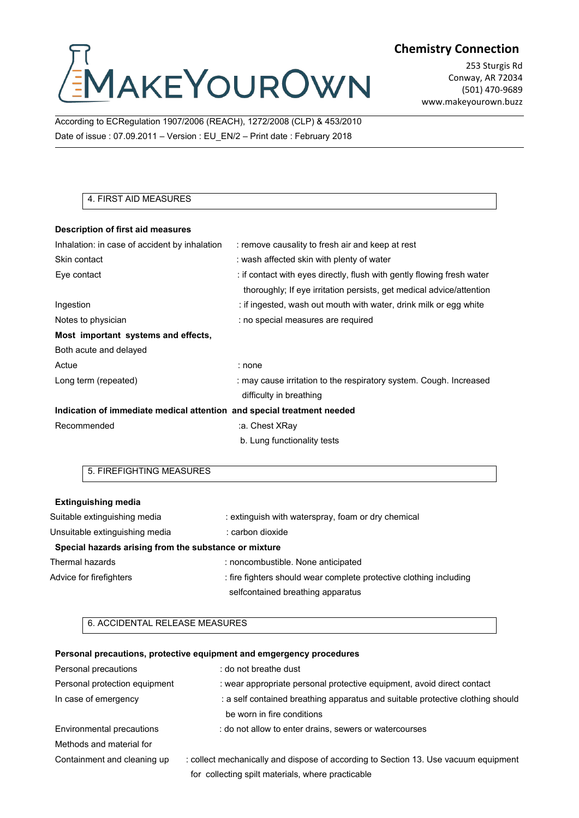## Chemistry<br>
Cording to ECRegulation 1907/2006 (REACH), 1272/2008 (CLP) & 453/2010<br>
Date of issue : 07.09.2011 – Version : EU\_EN/2 – Print date : February 2018 Chemistry Contains to ECRegulation 1907/2006 (REACH), 1272/2008 (CLP) & 453/2010<br>Date of issue : 07.09.2011 – Version : EU\_EN/2 – Print date : February 2018 MONTE YOURCESSUE : 07.09.2011 – Version : EU\_EN/2 – Print date : Fr<br>ALE FIRST AID MEASURES<br>A. FIRST AID MEASURES<br>Rijn of first aid measures

## **Chemistry Connection**

253 Sturgis Rd Conway, AR 72034 (501) 470-9689 www.makeyourown.buzz

| According to ECRegulation 1907/2006 (REACH), 1272/2008 (CLP) & 453/2010  |                                                                                                                                                |
|--------------------------------------------------------------------------|------------------------------------------------------------------------------------------------------------------------------------------------|
| Date of issue: 07.09.2011 - Version: EU_EN/2 - Print date: February 2018 |                                                                                                                                                |
|                                                                          |                                                                                                                                                |
|                                                                          |                                                                                                                                                |
|                                                                          |                                                                                                                                                |
| 4. FIRST AID MEASURES                                                    |                                                                                                                                                |
| Description of first aid measures                                        |                                                                                                                                                |
| Inhalation: in case of accident by inhalation                            | : remove causality to fresh air and keep at rest                                                                                               |
| Skin contact                                                             | : wash affected skin with plenty of water                                                                                                      |
| Eye contact                                                              | : if contact with eyes directly, flush with gently flowing fresh water<br>thoroughly; If eye irritation persists, get medical advice/attention |
| Ingestion                                                                | : if ingested, wash out mouth with water, drink milk or egg white                                                                              |
| Notes to physician                                                       | : no special measures are required                                                                                                             |
| Most important systems and effects,                                      |                                                                                                                                                |
| Both acute and delayed                                                   |                                                                                                                                                |
| Actue                                                                    | : none                                                                                                                                         |
| Long term (repeated)                                                     | : may cause irritation to the respiratory system. Cough. Increased                                                                             |
|                                                                          | difficulty in breathing                                                                                                                        |
| Indication of immediate medical attention and special treatment needed   |                                                                                                                                                |
| Recommended                                                              | :a. Chest XRay                                                                                                                                 |
|                                                                          | b. Lung functionality tests                                                                                                                    |
| 5. FIREFIGHTING MEASURES                                                 |                                                                                                                                                |
|                                                                          |                                                                                                                                                |
| <b>Extinguishing media</b>                                               |                                                                                                                                                |
| Suitable extinguishing media                                             | : extinguish with waterspray, foam or dry chemical                                                                                             |
| Jnsuitable extinguishing media                                           | : carbon dioxide                                                                                                                               |
| Special hazards arising from the substance or mixture                    |                                                                                                                                                |

|                                                       | difficulty in breathing                                                        |  |  |  |
|-------------------------------------------------------|--------------------------------------------------------------------------------|--|--|--|
|                                                       | Indication of immediate medical attention and special treatment needed         |  |  |  |
| Recommended                                           | :a. Chest XRay                                                                 |  |  |  |
|                                                       | b. Lung functionality tests                                                    |  |  |  |
| 5. FIREFIGHTING MEASURES                              |                                                                                |  |  |  |
| <b>Extinguishing media</b>                            |                                                                                |  |  |  |
| Suitable extinguishing media                          | : extinguish with waterspray, foam or dry chemical                             |  |  |  |
| Unsuitable extinguishing media                        | : carbon dioxide                                                               |  |  |  |
| Special hazards arising from the substance or mixture |                                                                                |  |  |  |
| <b>Thermal hazards</b>                                | : noncombustible. None anticipated                                             |  |  |  |
| Advice for firefighters                               | : fire fighters should wear complete protective clothing including             |  |  |  |
|                                                       | selfcontained breathing apparatus                                              |  |  |  |
| 6. ACCIDENTAL RELEASE MEASURES                        |                                                                                |  |  |  |
|                                                       | Personal precautions, protective equipment and emgergency procedures           |  |  |  |
| Personal precautions                                  | : do not breathe dust                                                          |  |  |  |
| Personal protection equipment                         | : wear appropriate personal protective equipment, avoid direct contact         |  |  |  |
| In case of emergency                                  | : a self contained breathing apparatus and suitable protective clothing should |  |  |  |
|                                                       | ho warn in fire conditions                                                     |  |  |  |

| Thermal hazards                | : noncombustible. None anticipated                                                                           |  |  |  |  |  |
|--------------------------------|--------------------------------------------------------------------------------------------------------------|--|--|--|--|--|
| Advice for firefighters        | : fire fighters should wear complete protective clothing including                                           |  |  |  |  |  |
|                                | selfcontained breathing apparatus                                                                            |  |  |  |  |  |
|                                |                                                                                                              |  |  |  |  |  |
| 6. ACCIDENTAL RELEASE MEASURES |                                                                                                              |  |  |  |  |  |
|                                | Personal precautions, protective equipment and emgergency procedures                                         |  |  |  |  |  |
| Personal precautions           | : do not breathe dust                                                                                        |  |  |  |  |  |
| Personal protection equipment  | : wear appropriate personal protective equipment, avoid direct contact                                       |  |  |  |  |  |
| In case of emergency           | : a self contained breathing apparatus and suitable protective clothing should<br>be worn in fire conditions |  |  |  |  |  |
| Environmental precautions      | : do not allow to enter drains, sewers or watercourses                                                       |  |  |  |  |  |
| Methods and material for       |                                                                                                              |  |  |  |  |  |
| Containment and cleaning up    | : collect mechanically and dispose of according to Section 13. Use vacuum equipment                          |  |  |  |  |  |
|                                | for collecting spilt materials, where practicable                                                            |  |  |  |  |  |
|                                |                                                                                                              |  |  |  |  |  |
|                                |                                                                                                              |  |  |  |  |  |
|                                |                                                                                                              |  |  |  |  |  |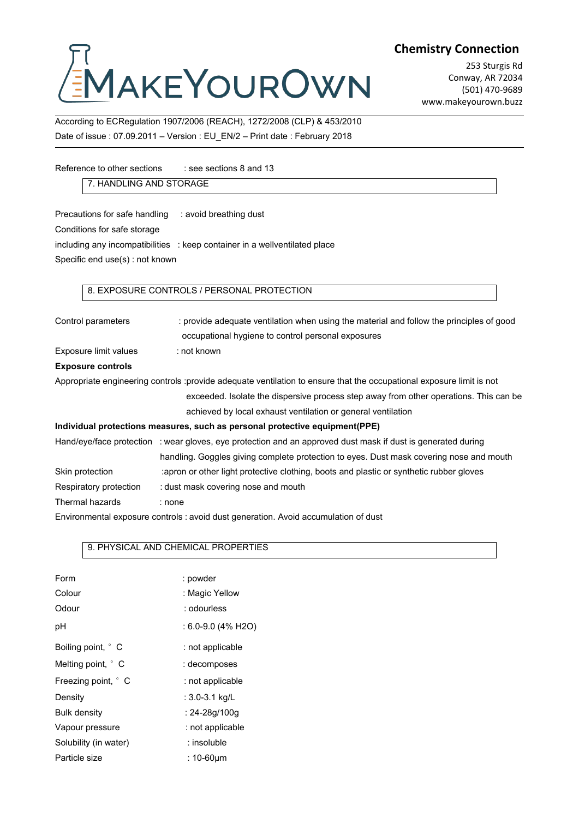## Chemistry<br>
Cording to ECRegulation 1907/2006 (REACH), 1272/2008 (CLP) & 453/2010<br>
Date of issue : 07.09.2011 – Version : EU\_EN/2 – Print date : February 2018 Chemistry C<br>
Chemistry C<br>
Date of issue : 07.09.2011 – Version : EU\_EN/2 – Print date : February 2018<br>
Reference to other sections : see sections 8 and 13 Reference to other sections : see sections 8 and 13<br>
Reference to other sections : see sections 8 and 13<br>
Presextions of instants and STORAGE<br>
Reference to other sections : see sections 8 and 13 MAKEYOURO<br>
SING TO BE CREGULATION 1907/2006 (REACH), 1272/2008 (CLP) &<br>
SING 197.09.2011 – Version : EU\_EN/2 – Print date : Februar<br>
Ce to other sections : see sections 8 and 13<br>
7. HANDLING AND STORAGE<br>
ons for safe handl

**Chemistry Connection**

253 Sturgis Rd Conway, AR 72034 (501) 470-9689 www.makeyourown.buzz

EVPLANCTIVE TENDER TENDER ACCORDING A A 453/2010<br>
Date of issue : 07.09.2011 – Version : EU\_EN/2 – Print date : February 2018<br>
Reference to other sections : see sections 8 and 13<br>
T. HANDLING AND STORAGE<br>
Precautions for s According to ECRegulation 1907/2006 (REACH), 127<br>Date of issue : 07.09.2011 – Version : EU\_EN/2 – Pri<br>Reference to other sections : see sections 8 and<br>7. HANDLING AND STORAGE<br>Precautions for safe handling : avoid breathing According to ECRegulation 1907/2006 (REACH), 1272/2008 (CLP) & 453/2010<br>
Date of issue : 07.09.2011 – Version : EU\_EN/2 – Print date : February 2018<br>
Reference to other sections : see sections 8 and 13<br>
7. HANDLING AND STO Date of issue : 07.09.2011 – Version : EU\_EN/2 – Print dat<br>
Reference to other sections<br>
Since sections 8 and 13<br>
T. HANDLING AND STORAGE<br>
Precautions for safe handling : avoid breathing dust<br>
Conditions for safe storage<br> contractions and the sections of the sections of the sections of the safe handling of the safe handling of the safe storage<br>
any incompatibilities of the seep container in a wellventilated place<br>
end use(s) : not known<br>
8. Precautions for safe handling : avoid breathing dust<br>
Conditions for safe storage<br>
including any incompatibilities : keep container in a wellventilated place<br>
Specific end use(s) : not known<br>
8. EXPOSURE CONTROLS / PERSONA Example 1 and the container in a wellventilated place<br>
DLS / PERSONAL PROTECTION<br>
provide adequate ventilation when using the material and follow the princip<br>
occupational hygiene to control personal exposures<br>
and known Conditions for safe storage<br>
including any incompatibilities : keep container in a wellventilated pla<br>
Specific end use(s) : not known<br>
8. EXPOSURE CONTROLS / PERSONAL PROTECTION<br>
Control parameters<br>
: provide adequate ven

including any incompatibilities : keep contain<br>
Specific end use(s) : not known<br>
8. EXPOSURE CONTROLS / PERS<br>
Control parameters : provide ade<br>
occupationa<br>
Exposure limit values : not known<br> **Exposure controls**<br>
Appropria Specific end use(s) : not known<br> **APPRESS APPRESS ALT PROTECTION**<br>
Control parameters<br>
: provide adequate ventilation when using the material and follow the principles of good<br>
exposure limit values<br>
: not known<br> **Exposure** LS / PERSONAL PROTECTION<br>provide adequate ventilation when using the material and follow the principles of good<br>ccupational hygiene to control personal exposures<br>of known<br>provide adequate ventilation to ensure that the occ LS / PERSONAL PROTECTION<br>according the material and follow the principles of go<br>ccupational hygiene to control personal exposures<br>of known<br>provide adequate ventilation to ensure that the occupational exposure limit is not<br>

Control parameters<br>
Intervalues<br>
Intervalues<br>
Intervalues<br>
Intervalues<br>
Intervalues<br>
Intervalues<br>
Intervalues<br>
Intervalues<br>
Appropriate engineering controls :<br>
Protocolar adequate ventilation to ensure that the occupationa Control parameters control provide adequate ventilation when using the material and follow the principles of good<br>
Exposure limit values : not known<br>
Exposure controls<br>
Appropriate engineering controls<br>
Appropriate enginee occupational hygiene to control personal exposures<br>
: not known<br>
ntrols :provide adequate ventilation to ensure that the occupational exposure limit is not<br>
exceeded. Isolate the dispersive process step away from other ope Exposure limit values<br> **Exposure controls**<br>
Appropriate engineering controls : provide adequate ventilation to ensure that the occupational exposure limit is not<br>
exceeded. Isolate the dispersive process step away from oth Exposure controls<br>
Appropriate engineering controls :provide adequate ventilation to ensure that the occupation<br>  $\alpha$  exceeded. Isolate the dispersive process step away from<br>
achieved by local exhaust ventilation or genera Appropriate engineering controls :provide adequate ventilation<br>
exceeded. Isolate the disper<br>
achieved by local exhaust ve<br>
Individual protections measures, such as personal protect<br>
Hand/eye/face protection : wear gloves, exceeded. Isolate the dispersive process step away from other operations. This<br>achieved by local exhaust ventilation or general ventilation<br>Hand/eye/face protection : wear gloves, eye protection and an approved dust mask i al protections measures, such as personal protective equipment(PPE)<br>
e/face protection : wear gloves, eye protection and an approved dust mask<br>
handling. Goggles giving complete protection to eyes. Du<br>
tection : apron or o Mandling. Goggles giving complete protection<br>
Respiratory protection<br>
Thermal hazards<br>
Form Environmental exposure controls : avoid dust generation. Avoid accude<br>
Thermal exposure controls : avoid dust generation. Avoid ac

| Skin protection        | :apron or other light protective clothing, boots and pla                       |
|------------------------|--------------------------------------------------------------------------------|
| Respiratory protection | : dust mask covering nose and mouth                                            |
| Thermal hazards        | : none                                                                         |
|                        | Environmental exposure controls : avoid dust generation. Avoid accumulation of |
|                        |                                                                                |
|                        | 9. PHYSICAL AND CHEMICAL PROPERTIES                                            |
| Form                   | : powder                                                                       |
| Colour                 | : Magic Yellow                                                                 |
| Odour                  | : odourless                                                                    |
| рH                     | : 6.0-9.0 (4% H2O)                                                             |
| Boiling point, ° C     | : not applicable                                                               |
| Melting point, ° C     | : decomposes                                                                   |
| Freezing point, ° C    | : not applicable                                                               |
| Density                | : 3.0-3.1 kg/L                                                                 |
| <b>Bulk density</b>    | : $24 - 28g/100g$                                                              |
| Vapour pressure        | : not applicable                                                               |
| Solubility (in water)  | : insoluble                                                                    |
| Particle size          | : $10 - 60 \mu m$                                                              |
|                        |                                                                                |
|                        |                                                                                |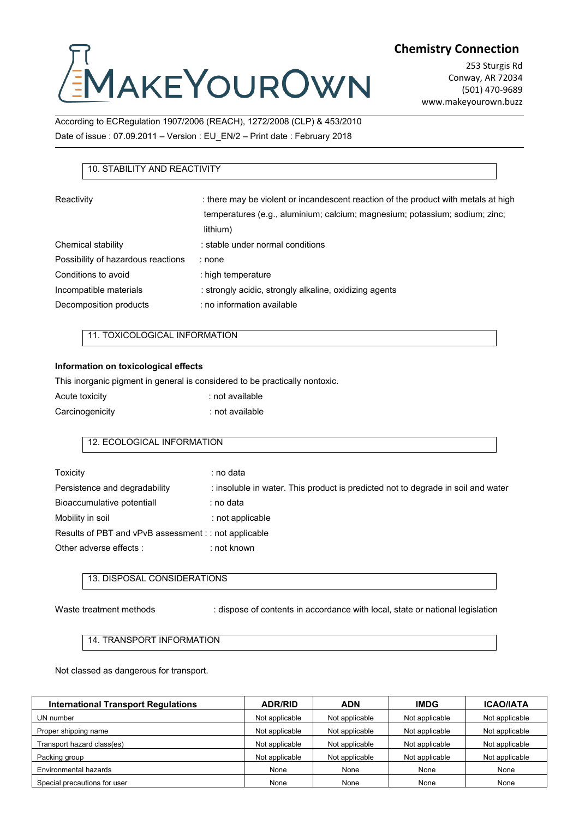## Chemistry<br>
Cording to ECRegulation 1907/2006 (REACH), 1272/2008 (CLP) & 453/2010<br>
Date of issue : 07.09.2011 – Version : EU\_EN/2 – Print date : February 2018 Chemistry Contains to ECRegulation 1907/2006 (REACH), 1272/2008 (CLP) & 453/2010<br>
Date of issue : 07.09.2011 – Version : EU\_EN/2 – Print date : February 2018<br>
10. STABILITY AND REACTIVITY NAKEYOUROW<br>
19 to ECRegulation 1907/2006 (REACH), 1272/2008 (CLP) & 49<br>
SSUE : 07.09.2011 – Version : EU\_EN/2 – Print date : February<br>
10. STABILITY AND REACTIVITY<br>
: there may be violent or incandes<br>
tomograftize (o.g., e

**Chemistry Connection**

253 Sturgis Rd Conway, AR 72034 (501) 470-9689 www.makeyourown.buzz

|                                      | EMAKEYOUROWN                                                                            | Conway, AR 72034<br>(501) 470-9689<br>www.makeyourown.buzz |
|--------------------------------------|-----------------------------------------------------------------------------------------|------------------------------------------------------------|
|                                      |                                                                                         |                                                            |
|                                      | According to ECRegulation 1907/2006 (REACH), 1272/2008 (CLP) & 453/2010                 |                                                            |
|                                      | Date of issue: 07.09.2011 - Version: EU EN/2 - Print date: February 2018                |                                                            |
| 10. STABILITY AND REACTIVITY         |                                                                                         |                                                            |
| Reactivity                           | : there may be violent or incandescent reaction of the product with metals at high      |                                                            |
|                                      | temperatures (e.g., aluminium; calcium; magnesium; potassium; sodium; zinc;<br>lithium) |                                                            |
| Chemical stability                   | : stable under normal conditions                                                        |                                                            |
| Possibility of hazardous reactions   | : none                                                                                  |                                                            |
| Conditions to avoid                  | : high temperature                                                                      |                                                            |
| Incompatible materials               | : strongly acidic, strongly alkaline, oxidizing agents                                  |                                                            |
| Decomposition products               | : no information available                                                              |                                                            |
| 11. TOXICOLOGICAL INFORMATION        |                                                                                         |                                                            |
| Information on toxicological effects |                                                                                         |                                                            |
|                                      | This inorganic pigment in general is considered to be practically nontoxic.             |                                                            |
| Acute toxicity                       | : not available                                                                         |                                                            |
| Carcinogenicity                      | : not available                                                                         |                                                            |
| 12. ECOLOGICAL INFORMATION           |                                                                                         |                                                            |

| Acute toxicity  | : not available |
|-----------------|-----------------|
| Carcinogenicity | : not available |

|                 | 11. TOXICOLOGICAL INFORMATION                         |                                                                                  |
|-----------------|-------------------------------------------------------|----------------------------------------------------------------------------------|
|                 | Information on toxicological effects                  |                                                                                  |
|                 |                                                       | This inorganic pigment in general is considered to be practically nontoxic.      |
|                 | Acute toxicity                                        | : not available                                                                  |
|                 | Carcinogenicity                                       | : not available                                                                  |
|                 | 12. ECOLOGICAL INFORMATION                            |                                                                                  |
| <b>Toxicity</b> |                                                       | : no data                                                                        |
|                 | Persistence and degradability                         | : insoluble in water. This product is predicted not to degrade in soil and water |
|                 | Bioaccumulative potentiall                            | : no data                                                                        |
|                 | Mobility in soil                                      | : not applicable                                                                 |
|                 | Results of PBT and vPvB assessment : : not applicable |                                                                                  |
|                 | Other adverse effects:                                | : not known                                                                      |
|                 | 13. DISPOSAL CONSIDERATIONS                           |                                                                                  |
|                 | Waste treatment methods                               | : dispose of contents in accordance with local, state or national legislation    |
|                 | 14. TRANSPORT INFORMATION                             |                                                                                  |

| 13. DISPOSAL CONSIDERATIONS                             |                                                                               |                |                |                                    |
|---------------------------------------------------------|-------------------------------------------------------------------------------|----------------|----------------|------------------------------------|
| Waste treatment methods                                 | : dispose of contents in accordance with local, state or national legislation |                |                |                                    |
| 14. TRANSPORT INFORMATION                               |                                                                               |                |                |                                    |
| Not classed as dangerous for transport.                 |                                                                               |                |                |                                    |
|                                                         | <b>ADR/RID</b>                                                                | <b>ADN</b>     | <b>IMDG</b>    |                                    |
| <b>International Transport Regulations</b><br>UN number | Not applicable                                                                | Not applicable | Not applicable | <b>ICAO/IATA</b><br>Not applicable |
| Proper shipping name                                    | Not applicable                                                                | Not applicable | Not applicable | Not applicable                     |
| Transport hazard class(es)                              | Not applicable                                                                | Not applicable | Not applicable | Not applicable                     |
| Packing group                                           | Not applicable                                                                | Not applicable | Not applicable | Not applicable                     |
| Environmental hazards                                   | None                                                                          | None           | None           | None                               |